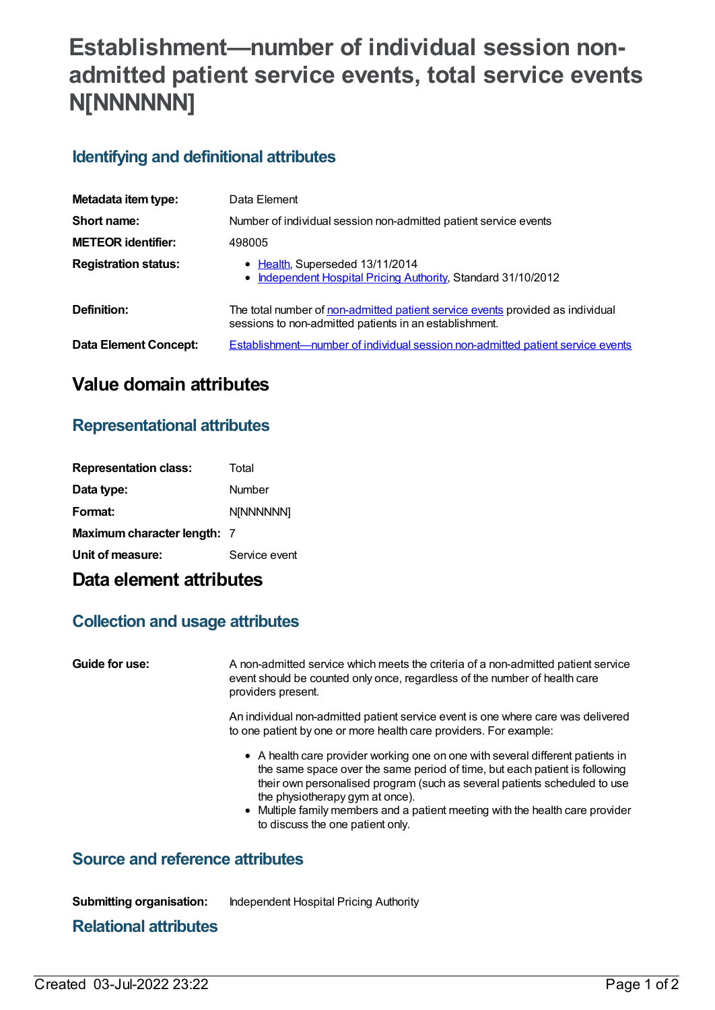# **Establishment—number of individual session nonadmitted patient service events, total service events N[NNNNNN]**

### **Identifying and definitional attributes**

| Metadata item type:          | Data Element                                                                                                                             |
|------------------------------|------------------------------------------------------------------------------------------------------------------------------------------|
| Short name:                  | Number of individual session non-admitted patient service events                                                                         |
| <b>METEOR identifier:</b>    | 498005                                                                                                                                   |
| <b>Registration status:</b>  | • Health, Superseded 13/11/2014<br>• Independent Hospital Pricing Authority, Standard 31/10/2012                                         |
| Definition:                  | The total number of non-admitted patient service events provided as individual<br>sessions to non-admitted patients in an establishment. |
| <b>Data Element Concept:</b> | <b>Establishment—number of individual session non-admitted patient service events</b>                                                    |

### **Value domain attributes**

### **Representational attributes**

| <b>Representation class:</b> | Total            |
|------------------------------|------------------|
| Data type:                   | Number           |
| Format:                      | <b>N[NNNNNN]</b> |
| Maximum character length: 7  |                  |
| Unit of measure:             | Service event    |

## **Data element attributes**

### **Collection and usage attributes**

**Guide for use:** A non-admitted service which meets the criteria of a non-admitted patient service event should be counted only once, regardless of the number of health care providers present.

> An individual non-admitted patient service event is one where care was delivered to one patient by one or more health care providers. For example:

- A health care provider working one on one with several different patients in the same space over the same period of time, but each patient is following their own personalised program (such as several patients scheduled to use the physiotherapy gym at once).
- Multiple family members and a patient meeting with the health care provider to discuss the one patient only.

### **Source and reference attributes**

**Submitting organisation:** Independent Hospital Pricing Authority

#### **Relational attributes**